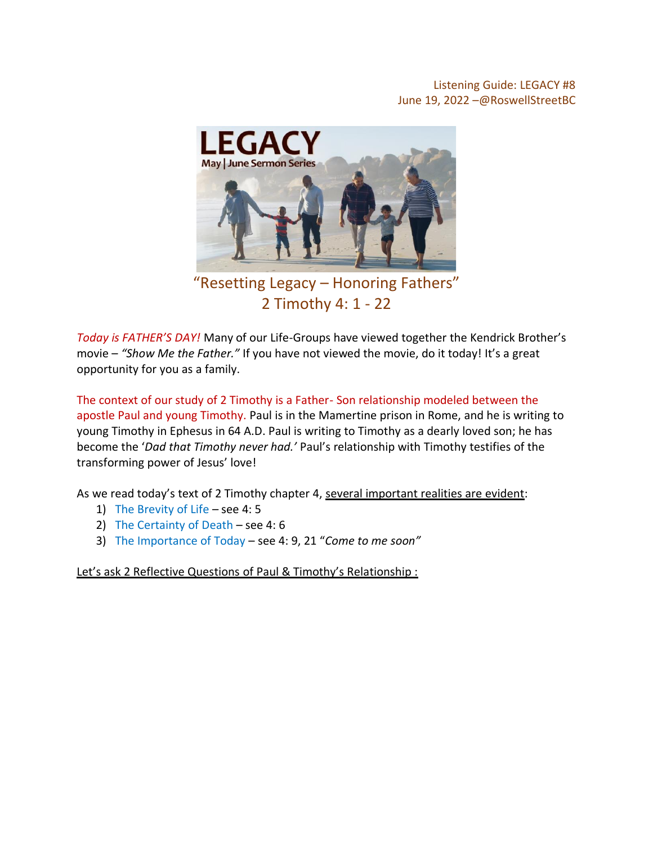## Listening Guide: LEGACY #8 June 19, 2022 –@RoswellStreetBC



"Resetting Legacy – Honoring Fathers" 2 Timothy 4: 1 - 22

*Today is FATHER'S DAY!* Many of our Life-Groups have viewed together the Kendrick Brother's movie – *"Show Me the Father."* If you have not viewed the movie, do it today! It's a great opportunity for you as a family.

The context of our study of 2 Timothy is a Father- Son relationship modeled between the apostle Paul and young Timothy. Paul is in the Mamertine prison in Rome, and he is writing to young Timothy in Ephesus in 64 A.D. Paul is writing to Timothy as a dearly loved son; he has become the '*Dad that Timothy never had.'* Paul's relationship with Timothy testifies of the transforming power of Jesus' love!

As we read today's text of 2 Timothy chapter 4, several important realities are evident:

- 1) The Brevity of Life see 4: 5
- 2) The Certainty of Death see 4: 6
- 3) The Importance of Today see 4: 9, 21 "*Come to me soon"*

Let's ask 2 Reflective Questions of Paul & Timothy's Relationship: